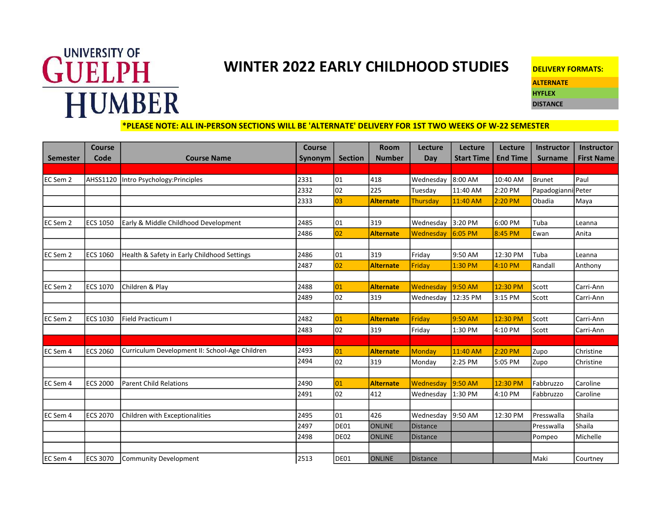## **GUELPH** HUMBER

## WINTER 2022 EARLY CHILDHOOD STUDIES

| <b>DELIVERY FORMATS:</b> |  |
|--------------------------|--|
| <b>ALTERNATE</b>         |  |
| <b>HYFLEX</b>            |  |
| <b>DISTANCE</b>          |  |

## \*PLEASE NOTE: ALL IN-PERSON SECTIONS WILL BE 'ALTERNATE' DELIVERY FOR 1ST TWO WEEKS OF W-22 SEMESTER

|                 | <b>Course</b>   |                                                | Course  |                | <b>Room</b>      | Lecture         | Lecture           | Lecture         | Instructor         | Instructor        |
|-----------------|-----------------|------------------------------------------------|---------|----------------|------------------|-----------------|-------------------|-----------------|--------------------|-------------------|
| <b>Semester</b> | Code            | <b>Course Name</b>                             | Synonym | <b>Section</b> | <b>Number</b>    | Day             | <b>Start Time</b> | <b>End Time</b> | <b>Surname</b>     | <b>First Name</b> |
|                 |                 |                                                |         |                |                  |                 |                   |                 |                    |                   |
| EC Sem 2        |                 | AHSS1120   Intro Psychology: Principles        | 2331    | 01             | 418              | Wednesday       | 8:00 AM           | 10:40 AM        | Brunet             | Paul              |
|                 |                 |                                                | 2332    | 02             | 225              | Tuesday         | 11:40 AM          | 2:20 PM         | Papadogianni Peter |                   |
|                 |                 |                                                | 2333    | 03             | <b>Alternate</b> | <b>Thursday</b> | 11:40 AM          | 2:20 PM         | Obadia             | Maya              |
|                 |                 |                                                |         |                |                  |                 |                   |                 |                    |                   |
| EC Sem 2        | <b>ECS 1050</b> | Early & Middle Childhood Development           | 2485    | 01             | 319              | Wednesday       | 3:20 PM           | 6:00 PM         | Tuba               | Leanna            |
|                 |                 |                                                | 2486    | 02             | <b>Alternate</b> | Wednesday       | 6:05 PM           | 8:45 PM         | Ewan               | Anita             |
|                 |                 |                                                |         |                |                  |                 |                   |                 |                    |                   |
| EC Sem 2        | <b>ECS 1060</b> | Health & Safety in Early Childhood Settings    | 2486    | 01             | 319              | Friday          | 9:50 AM           | 12:30 PM        | Tuba               | Leanna            |
|                 |                 |                                                | 2487    | 02             | <b>Alternate</b> | Friday          | 1:30 PM           | 4:10 PM         | Randall            | Anthony           |
|                 |                 |                                                |         |                |                  |                 |                   |                 |                    |                   |
| EC Sem 2        | <b>ECS 1070</b> | Children & Play                                | 2488    | 01             | <b>Alternate</b> | Wednesday       | 9:50 AM           | 12:30 PM        | Scott              | Carri-Ann         |
|                 |                 |                                                | 2489    | 02             | 319              | Wednesday       | 12:35 PM          | 3:15 PM         | Scott              | Carri-Ann         |
|                 |                 |                                                |         |                |                  |                 |                   |                 |                    |                   |
| EC Sem 2        | <b>ECS 1030</b> | Field Practicum I                              | 2482    | 01             | <b>Alternate</b> | Friday          | 9:50 AM           | 12:30 PM        | Scott              | Carri-Ann         |
|                 |                 |                                                | 2483    | 02             | 319              | Friday          | 1:30 PM           | 4:10 PM         | Scott              | Carri-Ann         |
|                 |                 |                                                |         |                |                  |                 |                   |                 |                    |                   |
| EC Sem 4        | <b>ECS 2060</b> | Curriculum Development II: School-Age Children | 2493    | 01             | <b>Alternate</b> | <b>Monday</b>   | 11:40 AM          | 2:20 PM         | Zupo               | Christine         |
|                 |                 |                                                | 2494    | 02             | 319              | Monday          | 2:25 PM           | 5:05 PM         | Zupo               | Christine         |
|                 |                 |                                                |         |                |                  |                 |                   |                 |                    |                   |
| EC Sem 4        | <b>ECS 2000</b> | <b>Parent Child Relations</b>                  | 2490    | 01             | <b>Alternate</b> | Wednesday       | 9:50 AM           | 12:30 PM        | Fabbruzzo          | Caroline          |
|                 |                 |                                                | 2491    | 02             | 412              | Wednesday       | 1:30 PM           | 4:10 PM         | Fabbruzzo          | Caroline          |
|                 |                 |                                                |         |                |                  |                 |                   |                 |                    |                   |
| EC Sem 4        | <b>ECS 2070</b> | Children with Exceptionalities                 | 2495    | 01             | 426              | Wednesday       | 9:50 AM           | 12:30 PM        | Presswalla         | Shaila            |
|                 |                 |                                                | 2497    | DE01           | <b>ONLINE</b>    | <b>Distance</b> |                   |                 | Presswalla         | Shaila            |
|                 |                 |                                                | 2498    | DE02           | <b>ONLINE</b>    | <b>Distance</b> |                   |                 | Pompeo             | Michelle          |
|                 |                 |                                                |         |                |                  |                 |                   |                 |                    |                   |
| EC Sem 4        | <b>ECS 3070</b> | Community Development                          | 2513    | <b>DE01</b>    | <b>ONLINE</b>    | <b>Distance</b> |                   |                 | Maki               | Courtney          |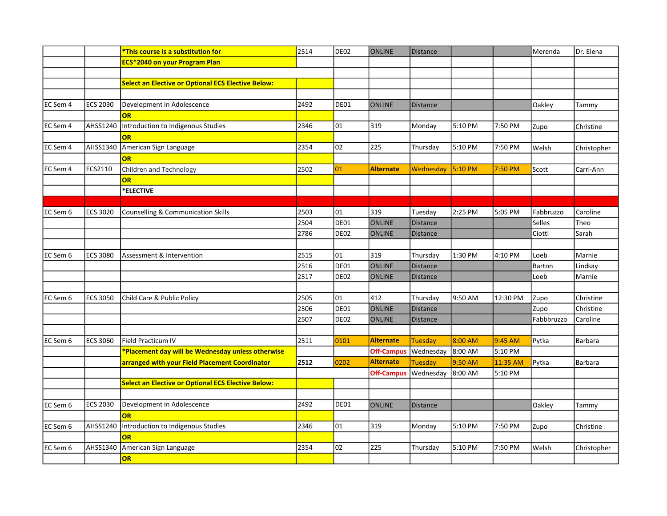|          |                 | *This course is a substitution for                        | 2514 | DE02 | <b>ONLINE</b>     | Distance        |           |          | Merenda    | Dr. Elena      |
|----------|-----------------|-----------------------------------------------------------|------|------|-------------------|-----------------|-----------|----------|------------|----------------|
|          |                 | <b>ECS*2040 on your Program Plan</b>                      |      |      |                   |                 |           |          |            |                |
|          |                 |                                                           |      |      |                   |                 |           |          |            |                |
|          |                 | <b>Select an Elective or Optional ECS Elective Below:</b> |      |      |                   |                 |           |          |            |                |
|          |                 |                                                           |      |      |                   |                 |           |          |            |                |
| EC Sem 4 | <b>ECS 2030</b> | Development in Adolescence                                | 2492 | DE01 | <b>ONLINE</b>     | <b>Distance</b> |           |          | Oakley     | Tammy          |
|          |                 | <b>OR</b>                                                 |      |      |                   |                 |           |          |            |                |
| EC Sem 4 | AHSS1240        | Introduction to Indigenous Studies                        | 2346 | 01   | 319               | Monday          | 5:10 PM   | 7:50 PM  | Zupo       | Christine      |
|          |                 | OR                                                        |      |      |                   |                 |           |          |            |                |
| EC Sem 4 | AHSS1340        | American Sign Language                                    | 2354 | 02   | 225               | Thursday        | 5:10 PM   | 7:50 PM  | Welsh      | Christopher    |
|          |                 | OR                                                        |      |      |                   |                 |           |          |            |                |
| EC Sem 4 | ECS2110         | Children and Technology                                   | 2502 | 01   | <b>Alternate</b>  | Wednesday       | $5:10$ PM | 7:50 PM  | Scott      | Carri-Ann      |
|          |                 | OR                                                        |      |      |                   |                 |           |          |            |                |
|          |                 | *ELECTIVE                                                 |      |      |                   |                 |           |          |            |                |
|          |                 |                                                           |      |      |                   |                 |           |          |            |                |
| EC Sem 6 | <b>ECS 3020</b> | Counselling & Communication Skills                        | 2503 | 01   | 319               | Tuesday         | 2:25 PM   | 5:05 PM  | Fabbruzzo  | Caroline       |
|          |                 |                                                           | 2504 | DE01 | <b>ONLINE</b>     | Distance        |           |          | Selles     | Theo           |
|          |                 |                                                           | 2786 | DE02 | <b>ONLINE</b>     | Distance        |           |          | Ciotti     | Sarah          |
|          |                 |                                                           |      |      |                   |                 |           |          |            |                |
| EC Sem 6 | <b>ECS 3080</b> | Assessment & Intervention                                 | 2515 | 01   | 319               | Thursday        | 1:30 PM   | 4:10 PM  | Loeb       | Marnie         |
|          |                 |                                                           | 2516 | DE01 | <b>ONLINE</b>     | Distance        |           |          | Barton     | Lindsay        |
|          |                 |                                                           | 2517 | DE02 | <b>ONLINE</b>     | <b>Distance</b> |           |          | Loeb       | Marnie         |
|          |                 |                                                           |      |      |                   |                 |           |          |            |                |
| EC Sem 6 | <b>ECS 3050</b> | Child Care & Public Policy                                | 2505 | 01   | 412               | Thursday        | 9:50 AM   | 12:30 PM | Zupo       | Christine      |
|          |                 |                                                           | 2506 | DE01 | <b>ONLINE</b>     | Distance        |           |          | Zupo       | Christine      |
|          |                 |                                                           | 2507 | DE02 | <b>ONLINE</b>     | <b>Distance</b> |           |          | Fabbbruzzo | Caroline       |
|          |                 |                                                           |      |      |                   |                 |           |          |            |                |
| EC Sem 6 | <b>ECS 3060</b> | Field Practicum IV                                        | 2511 | 0101 | <b>Alternate</b>  | <b>Tuesday</b>  | 8:00 AM   | 9:45 AM  | Pytka      | <b>Barbara</b> |
|          |                 | *Placement day will be Wednesday unless otherwise         |      |      | <b>Off-Campus</b> | Wednesday       | 8:00 AM   | 5:10 PM  |            |                |
|          |                 | arranged with your Field Placement Coordinator            | 2512 | 0202 | <b>Alternate</b>  | Tuesday         | 9:50 AM   | 11:35 AM | Pytka      | Barbara        |
|          |                 |                                                           |      |      | <b>Off-Campus</b> | Wednesday       | 8:00 AM   | 5:10 PM  |            |                |
|          |                 | <b>Select an Elective or Optional ECS Elective Below:</b> |      |      |                   |                 |           |          |            |                |
|          |                 |                                                           |      |      |                   |                 |           |          |            |                |
| EC Sem 6 | <b>ECS 2030</b> | Development in Adolescence                                | 2492 | DE01 | <b>ONLINE</b>     | <b>Distance</b> |           |          | Oakley     | Tammy          |
|          |                 | OR                                                        |      |      |                   |                 |           |          |            |                |
| EC Sem 6 | AHSS1240        | Introduction to Indigenous Studies                        | 2346 | 01   | 319               | Monday          | 5:10 PM   | 7:50 PM  | Zupo       | Christine      |
|          |                 | <b>OR</b>                                                 |      |      |                   |                 |           |          |            |                |
| EC Sem 6 | AHSS1340        | American Sign Language                                    | 2354 | 02   | 225               | Thursday        | 5:10 PM   | 7:50 PM  | Welsh      | Christopher    |
|          |                 | OR                                                        |      |      |                   |                 |           |          |            |                |